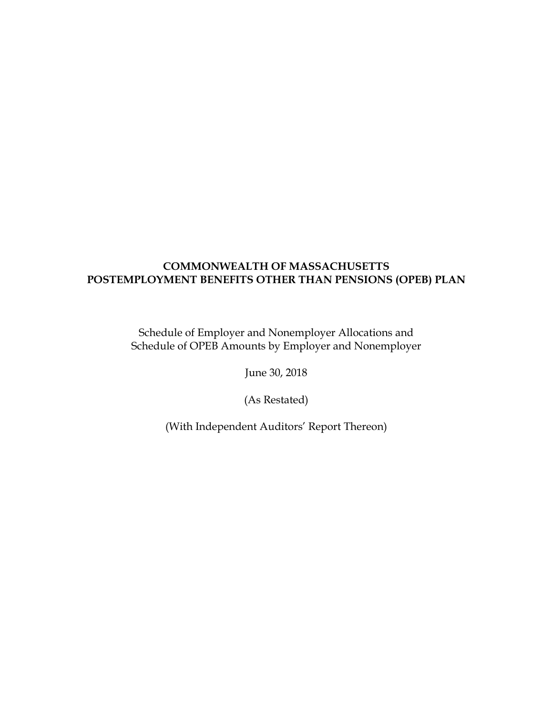Schedule of Employer and Nonemployer Allocations and Schedule of OPEB Amounts by Employer and Nonemployer

June 30, 2018

(As Restated)

(With Independent Auditors' Report Thereon)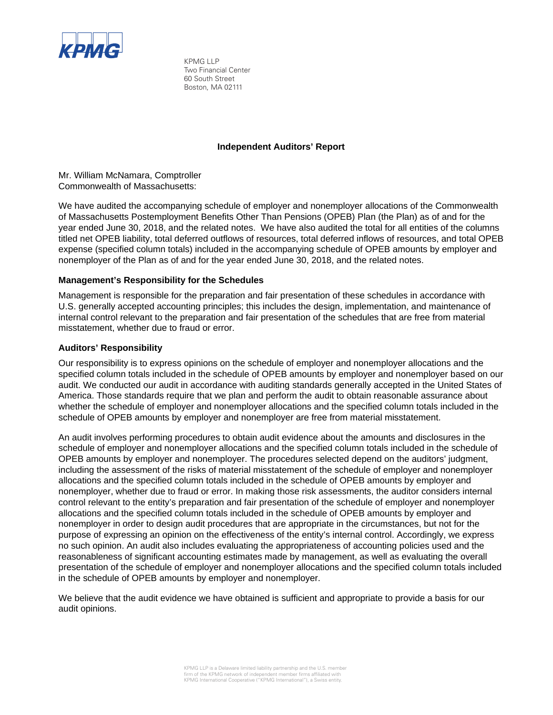

KPMG LLP Two Financial Center 60 South Street Boston, MA 02111

#### **Independent Auditors' Report**

Mr. William McNamara, Comptroller Commonwealth of Massachusetts:

We have audited the accompanying schedule of employer and nonemployer allocations of the Commonwealth of Massachusetts Postemployment Benefits Other Than Pensions (OPEB) Plan (the Plan) as of and for the year ended June 30, 2018, and the related notes. We have also audited the total for all entities of the columns titled net OPEB liability, total deferred outflows of resources, total deferred inflows of resources, and total OPEB expense (specified column totals) included in the accompanying schedule of OPEB amounts by employer and nonemployer of the Plan as of and for the year ended June 30, 2018, and the related notes.

#### **Management's Responsibility for the Schedules**

Management is responsible for the preparation and fair presentation of these schedules in accordance with U.S. generally accepted accounting principles; this includes the design, implementation, and maintenance of internal control relevant to the preparation and fair presentation of the schedules that are free from material misstatement, whether due to fraud or error.

#### **Auditors' Responsibility**

Our responsibility is to express opinions on the schedule of employer and nonemployer allocations and the specified column totals included in the schedule of OPEB amounts by employer and nonemployer based on our audit. We conducted our audit in accordance with auditing standards generally accepted in the United States of America. Those standards require that we plan and perform the audit to obtain reasonable assurance about whether the schedule of employer and nonemployer allocations and the specified column totals included in the schedule of OPEB amounts by employer and nonemployer are free from material misstatement.

An audit involves performing procedures to obtain audit evidence about the amounts and disclosures in the schedule of employer and nonemployer allocations and the specified column totals included in the schedule of OPEB amounts by employer and nonemployer. The procedures selected depend on the auditors' judgment, including the assessment of the risks of material misstatement of the schedule of employer and nonemployer allocations and the specified column totals included in the schedule of OPEB amounts by employer and nonemployer, whether due to fraud or error. In making those risk assessments, the auditor considers internal control relevant to the entity's preparation and fair presentation of the schedule of employer and nonemployer allocations and the specified column totals included in the schedule of OPEB amounts by employer and nonemployer in order to design audit procedures that are appropriate in the circumstances, but not for the purpose of expressing an opinion on the effectiveness of the entity's internal control. Accordingly, we express no such opinion. An audit also includes evaluating the appropriateness of accounting policies used and the reasonableness of significant accounting estimates made by management, as well as evaluating the overall presentation of the schedule of employer and nonemployer allocations and the specified column totals included in the schedule of OPEB amounts by employer and nonemployer.

We believe that the audit evidence we have obtained is sufficient and appropriate to provide a basis for our audit opinions.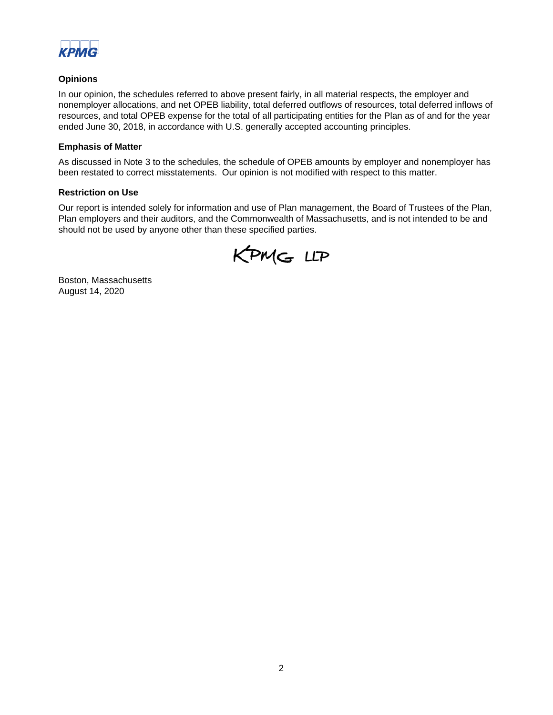

## **Opinions**

In our opinion, the schedules referred to above present fairly, in all material respects, the employer and nonemployer allocations, and net OPEB liability, total deferred outflows of resources, total deferred inflows of resources, and total OPEB expense for the total of all participating entities for the Plan as of and for the year ended June 30, 2018, in accordance with U.S. generally accepted accounting principles.

#### **Emphasis of Matter**

As discussed in Note 3 to the schedules, the schedule of OPEB amounts by employer and nonemployer has been restated to correct misstatements. Our opinion is not modified with respect to this matter.

#### **Restriction on Use**

Our report is intended solely for information and use of Plan management, the Board of Trustees of the Plan, Plan employers and their auditors, and the Commonwealth of Massachusetts, and is not intended to be and should not be used by anyone other than these specified parties.



Boston, Massachusetts August 14, 2020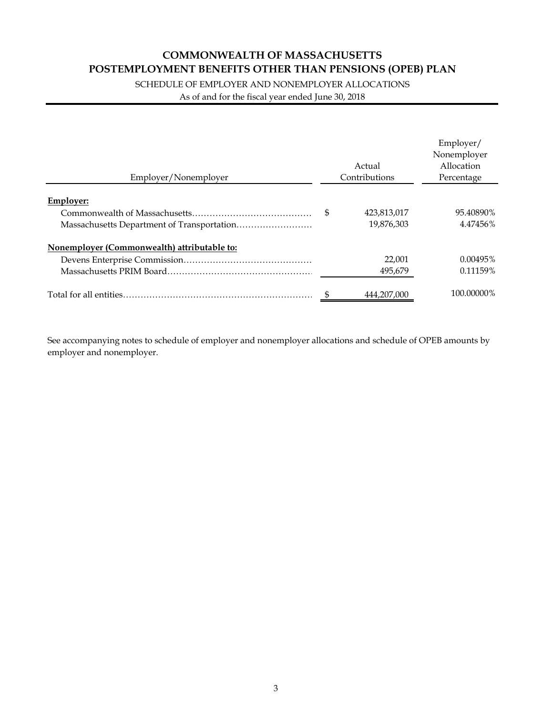SCHEDULE OF EMPLOYER AND NONEMPLOYER ALLOCATIONS

As of and for the fiscal year ended June 30, 2018

| Employer/Nonemployer                        |   | Actual<br>Contributions | Employer/<br>Nonemployer<br>Allocation<br>Percentage |
|---------------------------------------------|---|-------------------------|------------------------------------------------------|
| <b>Employer:</b>                            |   |                         |                                                      |
|                                             | S | 423,813,017             | 95.40890%                                            |
|                                             |   | 19,876,303              | 4.47456%                                             |
| Nonemployer (Commonwealth) attributable to: |   |                         |                                                      |
|                                             |   | 22,001                  | 0.00495%                                             |
|                                             |   | 495,679                 | 0.11159%                                             |
|                                             |   | 444.207.000             | 100.00000%                                           |

See accompanying notes to schedule of employer and nonemployer allocations and schedule of OPEB amounts by employer and nonemployer.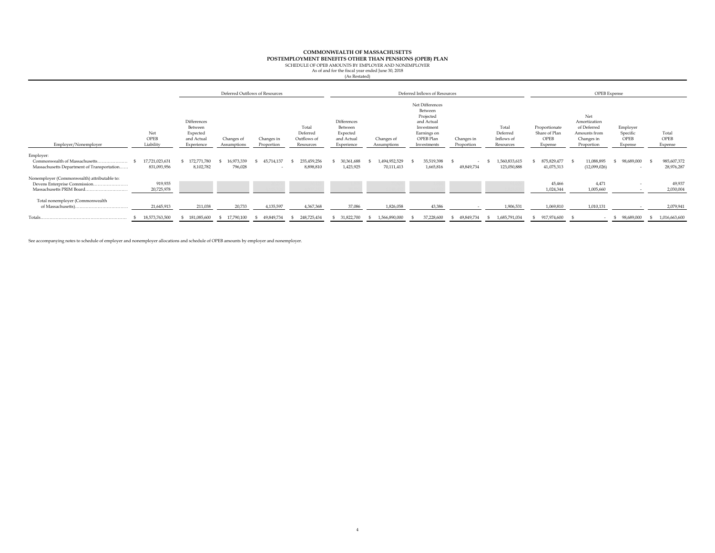## **POSTEMPLOYMENT BENEFITS OTHER THAN PENSIONS (OPEB) PLAN**<br>SCHEDULE OF OPEB AMOUNTS BY EMPLOYER AND NONEMPLOYER

As of and for the fiscal year ended June 30, 2018 (As Restated)

|                                                                                                         |                               |                                                                |                           | Deferred Outflows of Resources |                                               |                                                                |                             | Deferred Inflows of Resources                                                                                  |                          |                                              |                                                   | OPEB Expense                                                                   |                                         |                           |
|---------------------------------------------------------------------------------------------------------|-------------------------------|----------------------------------------------------------------|---------------------------|--------------------------------|-----------------------------------------------|----------------------------------------------------------------|-----------------------------|----------------------------------------------------------------------------------------------------------------|--------------------------|----------------------------------------------|---------------------------------------------------|--------------------------------------------------------------------------------|-----------------------------------------|---------------------------|
| Employer/Nonemployer                                                                                    | Net<br>OPEB<br>Liability      | Differences<br>Between<br>Expected<br>and Actual<br>Experience | Changes of<br>Assumptions | Changes in<br>Proportion       | Total<br>Deferred<br>Outflows of<br>Resources | Differences<br>Between<br>Expected<br>and Actual<br>Experience | Changes of<br>Assumptions   | Net Differences<br>Between<br>Projected<br>and Actual<br>Investment<br>Earnings on<br>OPEB Plan<br>Investments | Changes in<br>Proportion | Total<br>Deferred<br>Inflows of<br>Resources | Proportionate<br>Share of Plan<br>OPEB<br>Expense | Net<br>Amortization<br>of Deferred<br>Amounts from<br>Changes in<br>Proportion | Employer<br>Specific<br>OPEB<br>Expense | Total<br>OPEB<br>Expense  |
| Employer:<br>Commonwealth of Massachusetts<br>Massachusetts Department of Transportation                | 17,721,023,631<br>831,093,956 | 172,771,780<br>8,102,782                                       | 16,973,339<br>796,028     | 45,714,137                     | 235,459,256<br>8,898,810                      | 30,361,688<br>1,423,925                                        | 1,494,952,529<br>70,111,413 | 35,519,398<br>1,665,816                                                                                        | $\sim$<br>49,849,734     | 1,560,833,615<br>123,050,888                 | 875,829,477<br>41,075,313                         | 11,088,895<br>(12,099,026)                                                     | 98,689,000                              | 985,607,372<br>28,976,287 |
| Nonemployer (Commonwealth) attributable to:<br>Devens Enterprise Commission<br>Massachusetts PRIM Board | 919,935<br>20,725,978         |                                                                |                           |                                |                                               |                                                                |                             |                                                                                                                |                          |                                              | 45,466<br>1,024,344                               | 4,471<br>1,005,660                                                             | . .                                     | 49,937<br>2,030,004       |
| Total nonemployer (Commonwealth                                                                         | 21,645,913                    | 211,038                                                        | 20,733                    | 4,135,597                      | 4,367,368                                     | 37,086                                                         | 1,826,058                   | 43,386                                                                                                         |                          | 1,906,531                                    | 1,069,810                                         | 1,010,131                                                                      |                                         | 2,079,941                 |
| Totals                                                                                                  | 18,573,763,500                | 181,085,600                                                    | 17,790,100                | 49,849,734                     | 248,725,434                                   | 31,822,700                                                     | 1,566,890,000               | 37,228,600                                                                                                     | 49,849,734               | 1,685,791,034                                | 917,974,600<br>-S.                                | $\sim$                                                                         | 98,689,000<br>-S                        | 1,016,663,600             |

See accompanying notes to schedule of employer and nonemployer allocations and schedule of OPEB amounts by employer and nonemployer.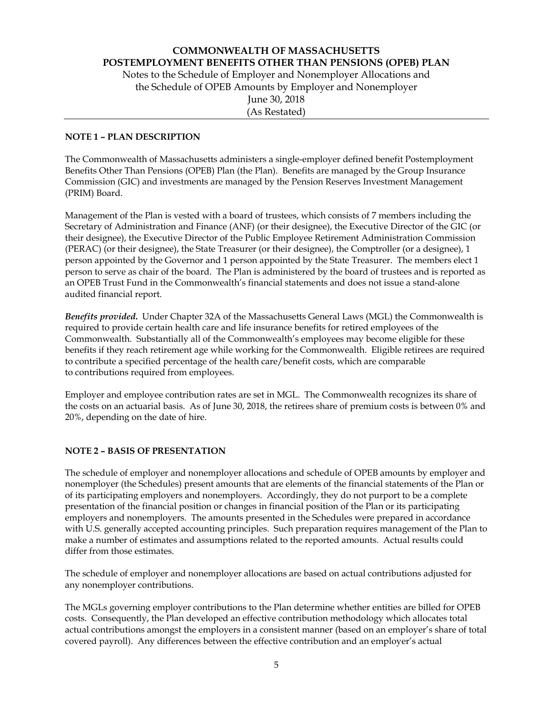## **COMMONWEALTH OF MASSACHUSETTS POSTEMPLOYMENT BENEFITS OTHER THAN PENSIONS (OPEB) PLAN**  Notes to the Schedule of Employer and Nonemployer Allocations and

the Schedule of OPEB Amounts by Employer and Nonemployer June 30, 2018 (As Restated)

#### **NOTE 1 – PLAN DESCRIPTION**

The Commonwealth of Massachusetts administers a single-employer defined benefit Postemployment Benefits Other Than Pensions (OPEB) Plan (the Plan). Benefits are managed by the Group Insurance Commission (GIC) and investments are managed by the Pension Reserves Investment Management (PRIM) Board.

Management of the Plan is vested with a board of trustees, which consists of 7 members including the Secretary of Administration and Finance (ANF) (or their designee), the Executive Director of the GIC (or their designee), the Executive Director of the Public Employee Retirement Administration Commission (PERAC) (or their designee), the State Treasurer (or their designee), the Comptroller (or a designee), 1 person appointed by the Governor and 1 person appointed by the State Treasurer. The members elect 1 person to serve as chair of the board. The Plan is administered by the board of trustees and is reported as an OPEB Trust Fund in the Commonwealth's financial statements and does not issue a stand-alone audited financial report.

*Benefits provided***.** Under Chapter 32A of the Massachusetts General Laws (MGL) the Commonwealth is required to provide certain health care and life insurance benefits for retired employees of the Commonwealth. Substantially all of the Commonwealth's employees may become eligible for these benefits if they reach retirement age while working for the Commonwealth. Eligible retirees are required to contribute a specified percentage of the health care/benefit costs, which are comparable to contributions required from employees.

Employer and employee contribution rates are set in MGL. The Commonwealth recognizes its share of the costs on an actuarial basis. As of June 30, 2018, the retirees share of premium costs is between 0% and 20%, depending on the date of hire.

#### **NOTE 2 – BASIS OF PRESENTATION**

The schedule of employer and nonemployer allocations and schedule of OPEB amounts by employer and nonemployer (the Schedules) present amounts that are elements of the financial statements of the Plan or of its participating employers and nonemployers. Accordingly, they do not purport to be a complete presentation of the financial position or changes in financial position of the Plan or its participating employers and nonemployers. The amounts presented in the Schedules were prepared in accordance with U.S. generally accepted accounting principles. Such preparation requires management of the Plan to make a number of estimates and assumptions related to the reported amounts. Actual results could differ from those estimates.

The schedule of employer and nonemployer allocations are based on actual contributions adjusted for any nonemployer contributions.

The MGLs governing employer contributions to the Plan determine whether entities are billed for OPEB costs. Consequently, the Plan developed an effective contribution methodology which allocates total actual contributions amongst the employers in a consistent manner (based on an employer's share of total covered payroll). Any differences between the effective contribution and an employer's actual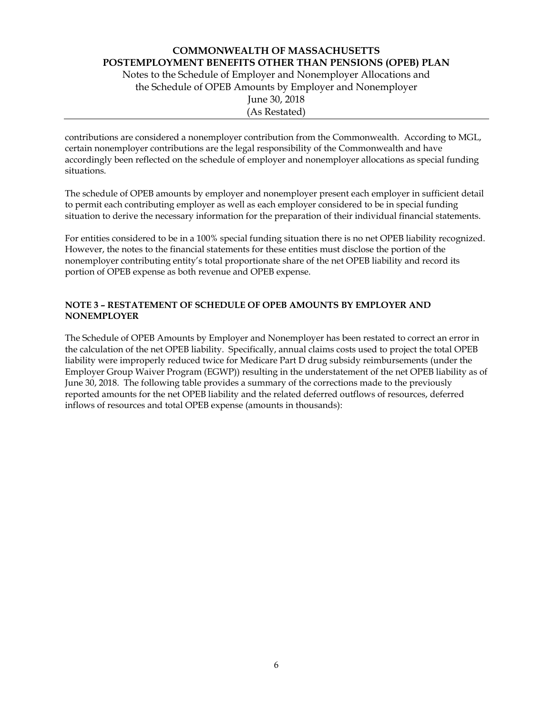Notes to the Schedule of Employer and Nonemployer Allocations and the Schedule of OPEB Amounts by Employer and Nonemployer June 30, 2018 (As Restated)

contributions are considered a nonemployer contribution from the Commonwealth. According to MGL, certain nonemployer contributions are the legal responsibility of the Commonwealth and have accordingly been reflected on the schedule of employer and nonemployer allocations as special funding situations.

The schedule of OPEB amounts by employer and nonemployer present each employer in sufficient detail to permit each contributing employer as well as each employer considered to be in special funding situation to derive the necessary information for the preparation of their individual financial statements.

For entities considered to be in a 100% special funding situation there is no net OPEB liability recognized. However, the notes to the financial statements for these entities must disclose the portion of the nonemployer contributing entity's total proportionate share of the net OPEB liability and record its portion of OPEB expense as both revenue and OPEB expense.

## **NOTE 3 – RESTATEMENT OF SCHEDULE OF OPEB AMOUNTS BY EMPLOYER AND NONEMPLOYER**

The Schedule of OPEB Amounts by Employer and Nonemployer has been restated to correct an error in the calculation of the net OPEB liability. Specifically, annual claims costs used to project the total OPEB liability were improperly reduced twice for Medicare Part D drug subsidy reimbursements (under the Employer Group Waiver Program (EGWP)) resulting in the understatement of the net OPEB liability as of June 30, 2018. The following table provides a summary of the corrections made to the previously reported amounts for the net OPEB liability and the related deferred outflows of resources, deferred inflows of resources and total OPEB expense (amounts in thousands):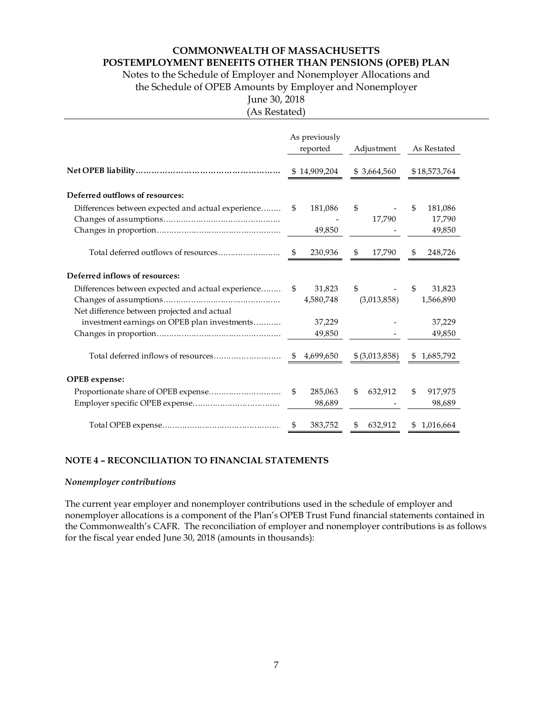**POSTEMPLOYMENT BENEFITS OTHER THAN PENSIONS (OPEB) PLAN** 

Notes to the Schedule of Employer and Nonemployer Allocations and

the Schedule of OPEB Amounts by Employer and Nonemployer

# June 30, 2018

(As Restated)

|                                                                                                   | As previously<br>reported  | Adjustment        | As Restated                        |
|---------------------------------------------------------------------------------------------------|----------------------------|-------------------|------------------------------------|
|                                                                                                   | \$14,909,204               | \$3,664,560       | \$18,573,764                       |
| Deferred outflows of resources:                                                                   |                            |                   |                                    |
| Differences between expected and actual experience                                                | 181,086<br>\$<br>49,850    | \$<br>17,790      | 181,086<br>\$.<br>17,790<br>49,850 |
|                                                                                                   | 230,936<br>\$              | \$<br>17,790      | 248,726<br>S.                      |
| Deferred inflows of resources:                                                                    |                            |                   |                                    |
| Differences between expected and actual experience<br>Net difference between projected and actual | 31,823<br>\$.<br>4,580,748 | \$<br>(3,013,858) | \$.<br>31,823<br>1,566,890         |
| investment earnings on OPEB plan investments                                                      | 37,229<br>49,850           |                   | 37,229<br>49,850                   |
|                                                                                                   | 4,699,650<br>S.            | $$$ (3,013,858)   | 1,685,792<br>\$                    |
| OPEB expense:                                                                                     |                            |                   |                                    |
| Proportionate share of OPEB expense                                                               | 285,063<br>\$<br>98,689    | \$<br>632,912     | \$<br>917,975<br>98,689            |
|                                                                                                   | 383,752<br>S.              | 632,912<br>S      | 1,016,664<br>\$                    |

## **NOTE 4 – RECONCILIATION TO FINANCIAL STATEMENTS**

#### *Nonemployer contributions*

The current year employer and nonemployer contributions used in the schedule of employer and nonemployer allocations is a component of the Plan's OPEB Trust Fund financial statements contained in the Commonwealth's CAFR. The reconciliation of employer and nonemployer contributions is as follows for the fiscal year ended June 30, 2018 (amounts in thousands):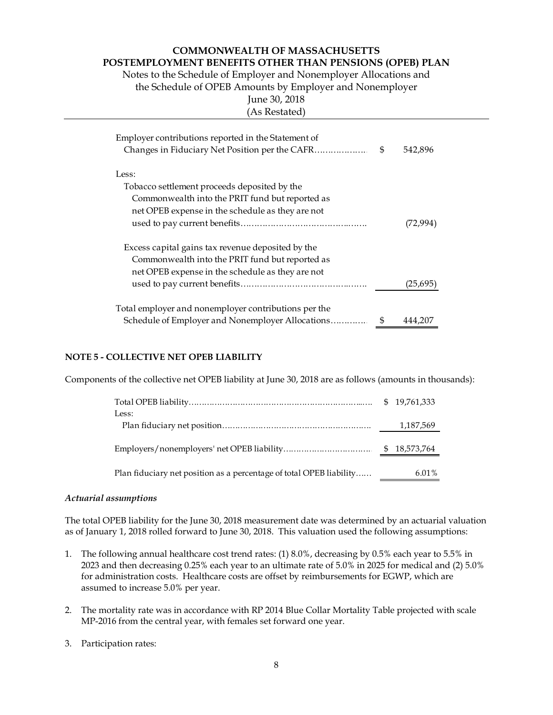Notes to the Schedule of Employer and Nonemployer Allocations and

the Schedule of OPEB Amounts by Employer and Nonemployer

June 30, 2018

(As Restated) Employer contributions reported in the Statement of

| <u>el commis amono reportea in all'ocalement</u>     |   |          |
|------------------------------------------------------|---|----------|
|                                                      | S | 542,896  |
| Less:                                                |   |          |
| Tobacco settlement proceeds deposited by the         |   |          |
| Commonwealth into the PRIT fund but reported as      |   |          |
| net OPEB expense in the schedule as they are not     |   |          |
|                                                      |   | (72,994) |
| Excess capital gains tax revenue deposited by the    |   |          |
| Commonwealth into the PRIT fund but reported as      |   |          |
| net OPEB expense in the schedule as they are not     |   |          |
|                                                      |   | (25,695) |
| Total employer and nonemployer contributions per the |   |          |
| Schedule of Employer and Nonemployer Allocations     | S | 444.207  |

# **NOTE 5 - COLLECTIVE NET OPEB LIABILITY**

Components of the collective net OPEB liability at June 30, 2018 are as follows (amounts in thousands):

|                                                                     | \$19,761,333 |
|---------------------------------------------------------------------|--------------|
| Less:                                                               |              |
|                                                                     | 1,187,569    |
|                                                                     |              |
| Plan fiduciary net position as a percentage of total OPEB liability | 6.01%        |

#### *Actuarial assumptions*

The total OPEB liability for the June 30, 2018 measurement date was determined by an actuarial valuation as of January 1, 2018 rolled forward to June 30, 2018. This valuation used the following assumptions:

- 1. The following annual healthcare cost trend rates: (1) 8.0%, decreasing by 0.5% each year to 5.5% in 2023 and then decreasing 0.25% each year to an ultimate rate of 5.0% in 2025 for medical and (2) 5.0% for administration costs. Healthcare costs are offset by reimbursements for EGWP, which are assumed to increase 5.0% per year.
- 2. The mortality rate was in accordance with RP 2014 Blue Collar Mortality Table projected with scale MP-2016 from the central year, with females set forward one year.
- 3. Participation rates: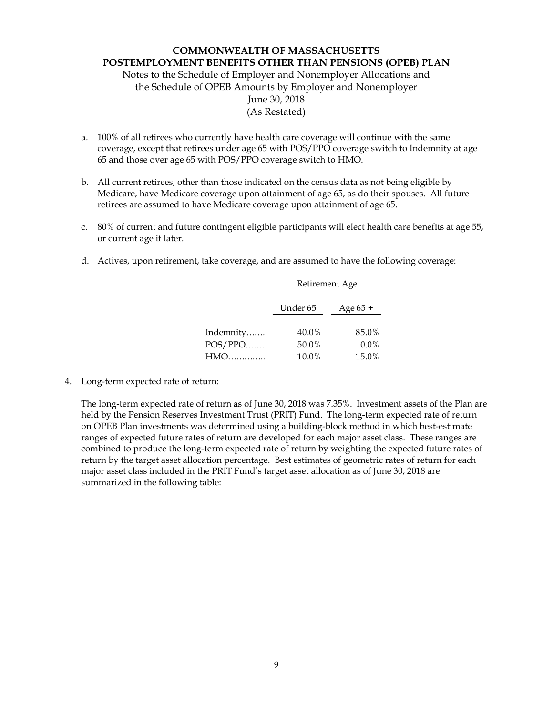Notes to the Schedule of Employer and Nonemployer Allocations and the Schedule of OPEB Amounts by Employer and Nonemployer June 30, 2018 (As Restated)

- a. 100% of all retirees who currently have health care coverage will continue with the same coverage, except that retirees under age 65 with POS/PPO coverage switch to Indemnity at age 65 and those over age 65 with POS/PPO coverage switch to HMO.
- b. All current retirees, other than those indicated on the census data as not being eligible by Medicare, have Medicare coverage upon attainment of age 65, as do their spouses. All future retirees are assumed to have Medicare coverage upon attainment of age 65.
- c. 80% of current and future contingent eligible participants will elect health care benefits at age 55, or current age if later.
- d. Actives, upon retirement, take coverage, and are assumed to have the following coverage:

|                             | Retirement Age          |                           |  |  |
|-----------------------------|-------------------------|---------------------------|--|--|
|                             | Under 65                | Age 65 +                  |  |  |
| Indemnity<br>POS/PPO<br>HMO | 40.0%<br>50.0%<br>10.0% | 85.0%<br>$0.0\%$<br>15.0% |  |  |

4. Long-term expected rate of return:

The long-term expected rate of return as of June 30, 2018 was 7.35%. Investment assets of the Plan are held by the Pension Reserves Investment Trust (PRIT) Fund. The long-term expected rate of return on OPEB Plan investments was determined using a building-block method in which best-estimate ranges of expected future rates of return are developed for each major asset class. These ranges are combined to produce the long-term expected rate of return by weighting the expected future rates of return by the target asset allocation percentage. Best estimates of geometric rates of return for each major asset class included in the PRIT Fund's target asset allocation as of June 30, 2018 are summarized in the following table: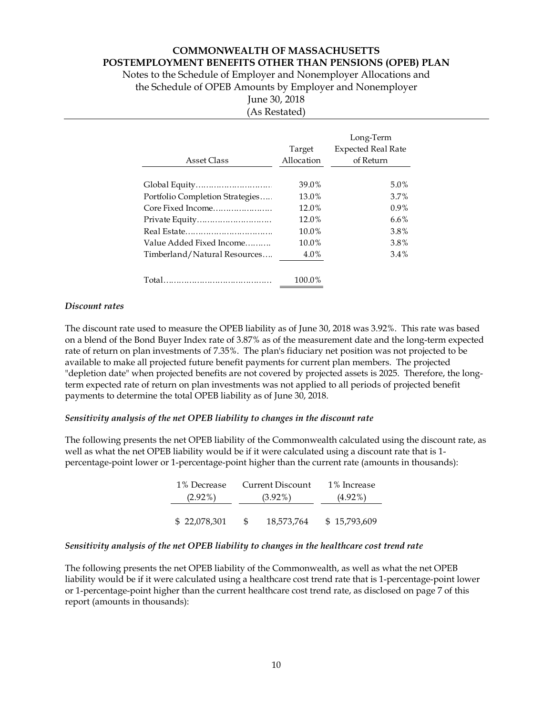**POSTEMPLOYMENT BENEFITS OTHER THAN PENSIONS (OPEB) PLAN** 

Notes to the Schedule of Employer and Nonemployer Allocations and the Schedule of OPEB Amounts by Employer and Nonemployer

> June 30, 2018 (As Restated)

| Asset Class                     | Target<br>Allocation | Long-Term<br><b>Expected Real Rate</b><br>of Return |
|---------------------------------|----------------------|-----------------------------------------------------|
|                                 | 39.0%                | 5.0%                                                |
| Portfolio Completion Strategies | 13.0%                | 3.7%                                                |
| Core Fixed Income               | 12.0%                | $0.9\%$                                             |
| Private Equity                  | 12.0%                | $6.6\%$                                             |
|                                 | 10.0%                | 3.8%                                                |
| Value Added Fixed Income        | 10.0%                | 3.8%                                                |
| Timberland/Natural Resources    | 4.0%                 | 3.4%                                                |
|                                 | 100.0%               |                                                     |

# *Discount rates*

The discount rate used to measure the OPEB liability as of June 30, 2018 was 3.92%. This rate was based on a blend of the Bond Buyer Index rate of 3.87% as of the measurement date and the long-term expected rate of return on plan investments of 7.35%. The plan's fiduciary net position was not projected to be available to make all projected future benefit payments for current plan members. The projected "depletion date" when projected benefits are not covered by projected assets is 2025. Therefore, the longterm expected rate of return on plan investments was not applied to all periods of projected benefit payments to determine the total OPEB liability as of June 30, 2018.

## *Sensitivity analysis of the net OPEB liability to changes in the discount rate*

The following presents the net OPEB liability of the Commonwealth calculated using the discount rate, as well as what the net OPEB liability would be if it were calculated using a discount rate that is 1 percentage-point lower or 1-percentage-point higher than the current rate (amounts in thousands):

| 1% Decrease  | Current Discount | 1% Increase  |
|--------------|------------------|--------------|
| $(2.92\%)$   | $(3.92\%)$       | $(4.92\%)$   |
| \$22,078,301 | 18,573,764       | \$15,793,609 |

## *Sensitivity analysis of the net OPEB liability to changes in the healthcare cost trend rate*

The following presents the net OPEB liability of the Commonwealth, as well as what the net OPEB liability would be if it were calculated using a healthcare cost trend rate that is 1-percentage-point lower or 1-percentage-point higher than the current healthcare cost trend rate, as disclosed on page 7 of this report (amounts in thousands):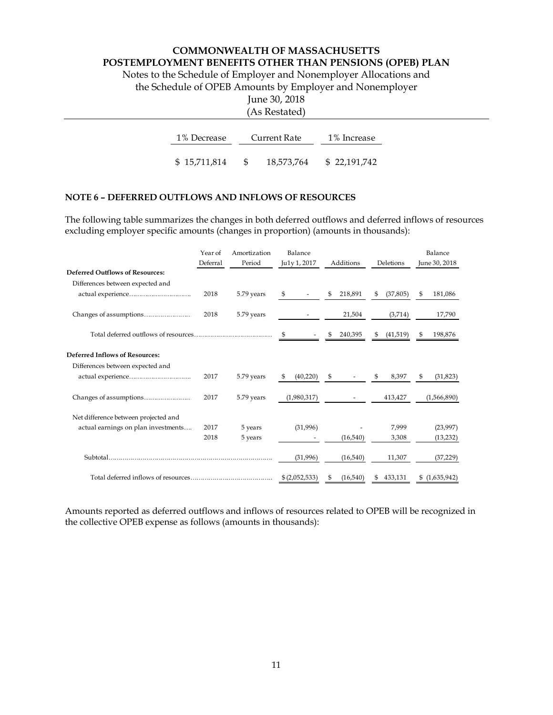Notes to the Schedule of Employer and Nonemployer Allocations and

the Schedule of OPEB Amounts by Employer and Nonemployer

June 30, 2018

| (As Restated) |
|---------------|
|               |

| 1% Decrease  | Current Rate | 1% Increase  |
|--------------|--------------|--------------|
| \$15,711,814 | 18,573,764   | \$22,191,742 |

#### **NOTE 6 – DEFERRED OUTFLOWS AND INFLOWS OF RESOURCES**

The following table summarizes the changes in both deferred outflows and deferred inflows of resources excluding employer specific amounts (changes in proportion) (amounts in thousands):

|                                        | Year of  | Amortization | Balance        |                |                 | Balance         |
|----------------------------------------|----------|--------------|----------------|----------------|-----------------|-----------------|
|                                        | Deferral | Period       | Ju1y 1, 2017   | Additions      | Deletions       | June 30, 2018   |
| <b>Deferred Outflows of Resources:</b> |          |              |                |                |                 |                 |
| Differences between expected and       |          |              |                |                |                 |                 |
|                                        | 2018     | 5.79 years   | \$             | 218,891<br>\$  | \$<br>(37, 805) | 181,086<br>\$   |
|                                        | 2018     | 5.79 years   |                | 21,504         | (3,714)         | 17,790          |
|                                        |          |              | \$             | 240,395<br>\$  | \$<br>(41,519)  | 198,876<br>S    |
| <b>Deferred Inflows of Resources:</b>  |          |              |                |                |                 |                 |
| Differences between expected and       |          |              |                |                |                 |                 |
| actual experience                      | 2017     | 5.79 years   | (40,220)<br>S  | \$             | 8,397<br>\$     | (31, 823)<br>\$ |
|                                        | 2017     | 5.79 years   | (1,980,317)    |                | 413,427         | (1,566,890)     |
| Net difference between projected and   |          |              |                |                |                 |                 |
| actual earnings on plan investments    | 2017     | 5 years      | (31,996)       |                | 7,999           | (23,997)        |
|                                        | 2018     | 5 years      |                | (16,540)       | 3,308           | (13,232)        |
|                                        |          |              | (31,996)       | (16,540)       | 11,307          | (37, 229)       |
|                                        |          |              | \$ (2,052,533) | (16,540)<br>\$ | 433,131<br>\$   | \$(1,635,942)   |

Amounts reported as deferred outflows and inflows of resources related to OPEB will be recognized in the collective OPEB expense as follows (amounts in thousands):